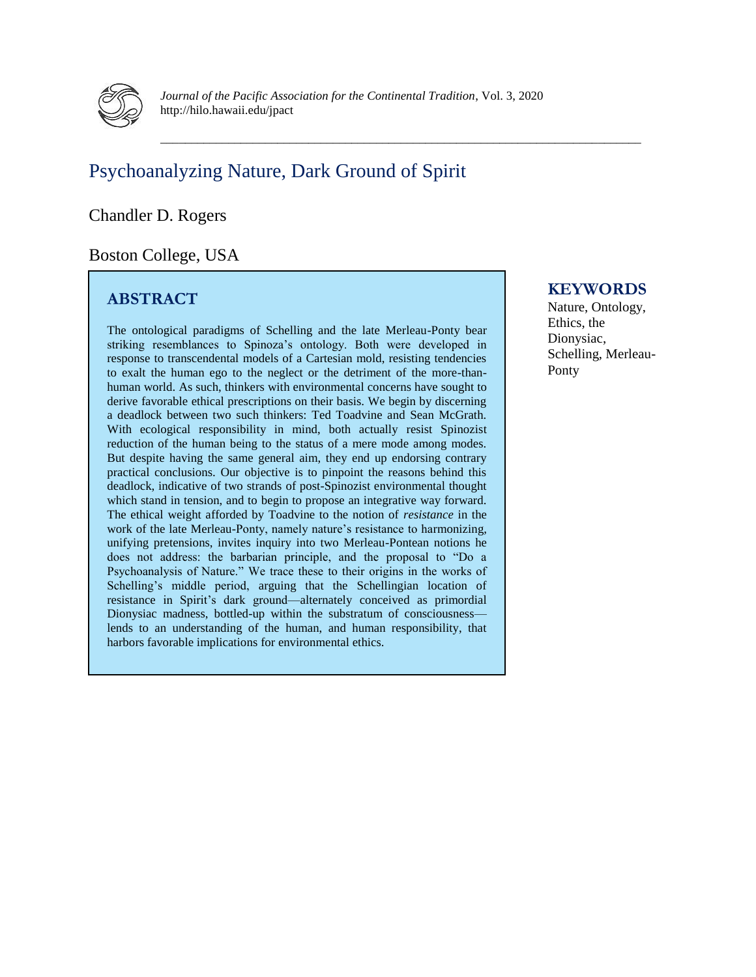

\_\_\_\_\_\_\_\_\_\_\_\_\_\_\_\_\_\_\_\_\_\_\_\_\_\_\_\_\_\_\_\_\_\_\_\_\_\_\_\_\_\_\_\_\_\_\_\_\_\_\_\_\_\_\_\_\_\_\_\_\_\_\_\_\_\_\_\_\_\_\_\_\_\_\_\_\_\_

# Psychoanalyzing Nature, Dark Ground of Spirit

#### Chandler D. Rogers

## Boston College, USA

## **ABSTRACT**

The ontological paradigms of Schelling and the late Merleau-Ponty bear striking resemblances to Spinoza's ontology. Both were developed in response to transcendental models of a Cartesian mold, resisting tendencies to exalt the human ego to the neglect or the detriment of the more-thanhuman world. As such, thinkers with environmental concerns have sought to derive favorable ethical prescriptions on their basis. We begin by discerning a deadlock between two such thinkers: Ted Toadvine and Sean McGrath. With ecological responsibility in mind, both actually resist Spinozist reduction of the human being to the status of a mere mode among modes. But despite having the same general aim, they end up endorsing contrary practical conclusions. Our objective is to pinpoint the reasons behind this deadlock, indicative of two strands of post-Spinozist environmental thought which stand in tension, and to begin to propose an integrative way forward. The ethical weight afforded by Toadvine to the notion of *resistance* in the work of the late Merleau-Ponty, namely nature's resistance to harmonizing, unifying pretensions, invites inquiry into two Merleau-Pontean notions he does not address: the barbarian principle, and the proposal to "Do a Psychoanalysis of Nature." We trace these to their origins in the works of Schelling's middle period, arguing that the Schellingian location of resistance in Spirit's dark ground—alternately conceived as primordial Dionysiac madness, bottled-up within the substratum of consciousness lends to an understanding of the human, and human responsibility, that harbors favorable implications for environmental ethics.

### **KEYWORDS**

Nature, Ontology, Ethics, the Dionysiac, Schelling, Merleau-Ponty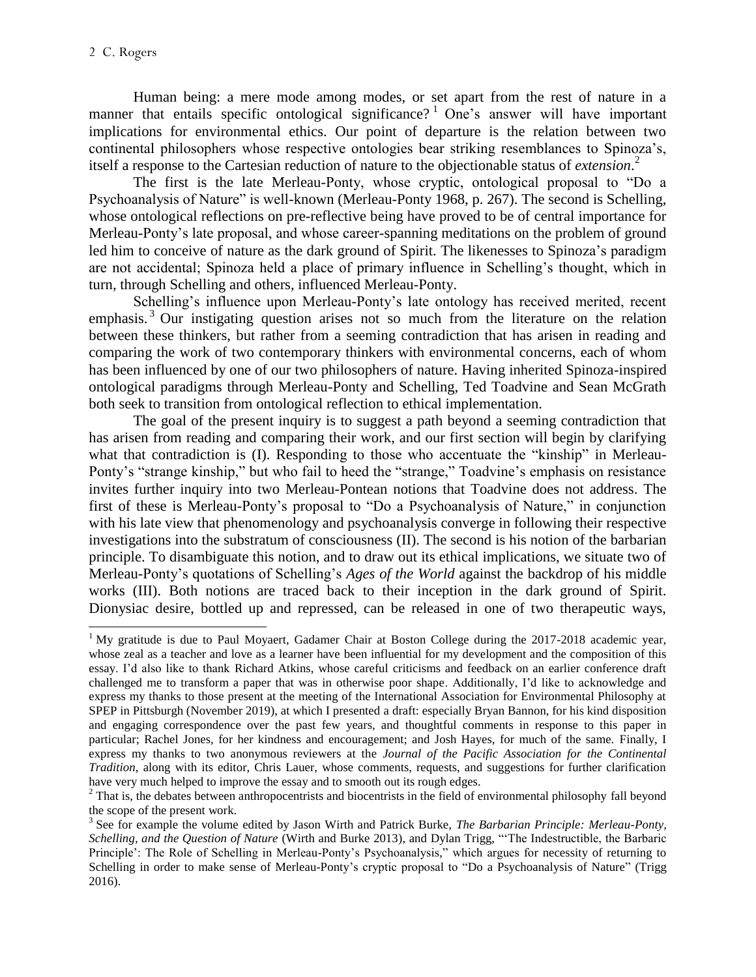Human being: a mere mode among modes, or set apart from the rest of nature in a manner that entails specific ontological significance?<sup>1</sup> One's answer will have important implications for environmental ethics. Our point of departure is the relation between two continental philosophers whose respective ontologies bear striking resemblances to Spinoza's, itself a response to the Cartesian reduction of nature to the objectionable status of *extension*. 2

The first is the late Merleau-Ponty, whose cryptic, ontological proposal to "Do a Psychoanalysis of Nature" is well-known (Merleau-Ponty 1968, p. 267). The second is Schelling, whose ontological reflections on pre-reflective being have proved to be of central importance for Merleau-Ponty's late proposal, and whose career-spanning meditations on the problem of ground led him to conceive of nature as the dark ground of Spirit. The likenesses to Spinoza's paradigm are not accidental; Spinoza held a place of primary influence in Schelling's thought, which in turn, through Schelling and others, influenced Merleau-Ponty.

Schelling's influence upon Merleau-Ponty's late ontology has received merited, recent emphasis.<sup>3</sup> Our instigating question arises not so much from the literature on the relation between these thinkers, but rather from a seeming contradiction that has arisen in reading and comparing the work of two contemporary thinkers with environmental concerns, each of whom has been influenced by one of our two philosophers of nature. Having inherited Spinoza-inspired ontological paradigms through Merleau-Ponty and Schelling, Ted Toadvine and Sean McGrath both seek to transition from ontological reflection to ethical implementation.

The goal of the present inquiry is to suggest a path beyond a seeming contradiction that has arisen from reading and comparing their work, and our first section will begin by clarifying what that contradiction is (I). Responding to those who accentuate the "kinship" in Merleau-Ponty's "strange kinship," but who fail to heed the "strange," Toadvine's emphasis on resistance invites further inquiry into two Merleau-Pontean notions that Toadvine does not address. The first of these is Merleau-Ponty's proposal to "Do a Psychoanalysis of Nature," in conjunction with his late view that phenomenology and psychoanalysis converge in following their respective investigations into the substratum of consciousness (II). The second is his notion of the barbarian principle. To disambiguate this notion, and to draw out its ethical implications, we situate two of Merleau-Ponty's quotations of Schelling's *Ages of the World* against the backdrop of his middle works (III). Both notions are traced back to their inception in the dark ground of Spirit. Dionysiac desire, bottled up and repressed, can be released in one of two therapeutic ways,

 $\overline{a}$ <sup>1</sup> My gratitude is due to Paul Moyaert, Gadamer Chair at Boston College during the  $2017$ -2018 academic year, whose zeal as a teacher and love as a learner have been influential for my development and the composition of this essay. I'd also like to thank Richard Atkins, whose careful criticisms and feedback on an earlier conference draft challenged me to transform a paper that was in otherwise poor shape. Additionally, I'd like to acknowledge and express my thanks to those present at the meeting of the International Association for Environmental Philosophy at SPEP in Pittsburgh (November 2019), at which I presented a draft: especially Bryan Bannon, for his kind disposition and engaging correspondence over the past few years, and thoughtful comments in response to this paper in particular; Rachel Jones, for her kindness and encouragement; and Josh Hayes, for much of the same. Finally, I express my thanks to two anonymous reviewers at the *Journal of the Pacific Association for the Continental Tradition*, along with its editor, Chris Lauer, whose comments, requests, and suggestions for further clarification have very much helped to improve the essay and to smooth out its rough edges.

 $2$  That is, the debates between anthropocentrists and biocentrists in the field of environmental philosophy fall beyond the scope of the present work.

<sup>&</sup>lt;sup>3</sup> See for example the volume edited by Jason Wirth and Patrick Burke, *The Barbarian Principle: Merleau-Ponty*, *Schelling, and the Question of Nature* (Wirth and Burke 2013), and Dylan Trigg, "'The Indestructible, the Barbaric Principle': The Role of Schelling in Merleau-Ponty's Psychoanalysis," which argues for necessity of returning to Schelling in order to make sense of Merleau-Ponty's cryptic proposal to "Do a Psychoanalysis of Nature" (Trigg 2016).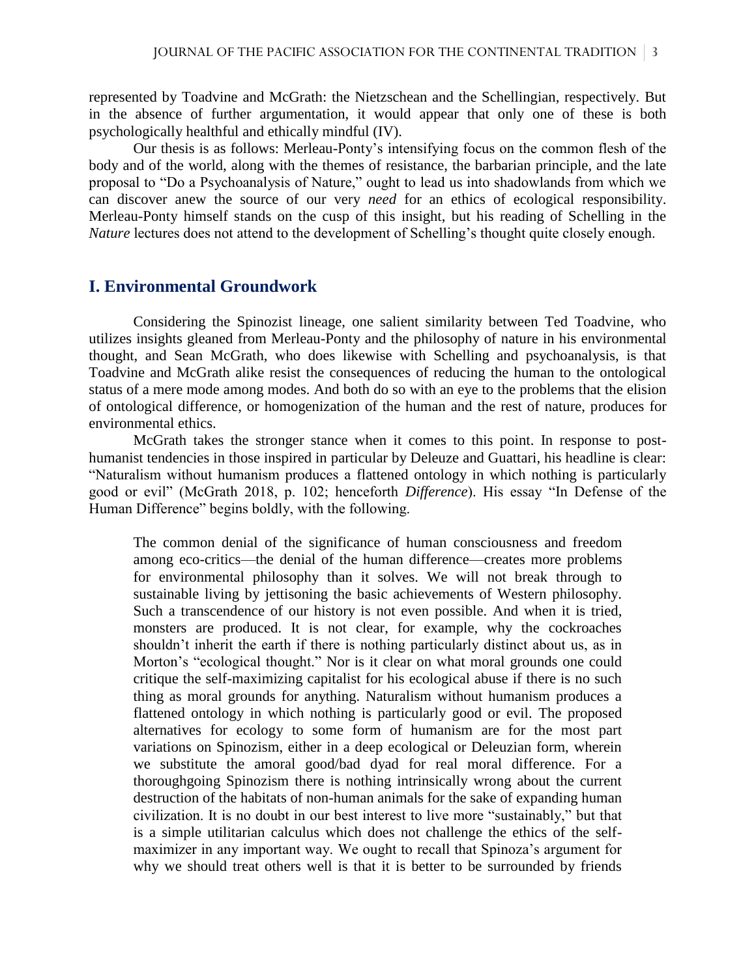represented by Toadvine and McGrath: the Nietzschean and the Schellingian, respectively. But in the absence of further argumentation, it would appear that only one of these is both psychologically healthful and ethically mindful (IV).

Our thesis is as follows: Merleau-Ponty's intensifying focus on the common flesh of the body and of the world, along with the themes of resistance, the barbarian principle, and the late proposal to "Do a Psychoanalysis of Nature," ought to lead us into shadowlands from which we can discover anew the source of our very *need* for an ethics of ecological responsibility. Merleau-Ponty himself stands on the cusp of this insight, but his reading of Schelling in the *Nature* lectures does not attend to the development of Schelling's thought quite closely enough.

#### **I. Environmental Groundwork**

Considering the Spinozist lineage, one salient similarity between Ted Toadvine, who utilizes insights gleaned from Merleau-Ponty and the philosophy of nature in his environmental thought, and Sean McGrath, who does likewise with Schelling and psychoanalysis, is that Toadvine and McGrath alike resist the consequences of reducing the human to the ontological status of a mere mode among modes. And both do so with an eye to the problems that the elision of ontological difference, or homogenization of the human and the rest of nature, produces for environmental ethics.

McGrath takes the stronger stance when it comes to this point. In response to posthumanist tendencies in those inspired in particular by Deleuze and Guattari, his headline is clear: "Naturalism without humanism produces a flattened ontology in which nothing is particularly good or evil" (McGrath 2018, p. 102; henceforth *Difference*). His essay "In Defense of the Human Difference" begins boldly, with the following.

The common denial of the significance of human consciousness and freedom among eco-critics—the denial of the human difference—creates more problems for environmental philosophy than it solves. We will not break through to sustainable living by jettisoning the basic achievements of Western philosophy. Such a transcendence of our history is not even possible. And when it is tried, monsters are produced. It is not clear, for example, why the cockroaches shouldn't inherit the earth if there is nothing particularly distinct about us, as in Morton's "ecological thought." Nor is it clear on what moral grounds one could critique the self-maximizing capitalist for his ecological abuse if there is no such thing as moral grounds for anything. Naturalism without humanism produces a flattened ontology in which nothing is particularly good or evil. The proposed alternatives for ecology to some form of humanism are for the most part variations on Spinozism, either in a deep ecological or Deleuzian form, wherein we substitute the amoral good/bad dyad for real moral difference. For a thoroughgoing Spinozism there is nothing intrinsically wrong about the current destruction of the habitats of non-human animals for the sake of expanding human civilization. It is no doubt in our best interest to live more "sustainably," but that is a simple utilitarian calculus which does not challenge the ethics of the selfmaximizer in any important way. We ought to recall that Spinoza's argument for why we should treat others well is that it is better to be surrounded by friends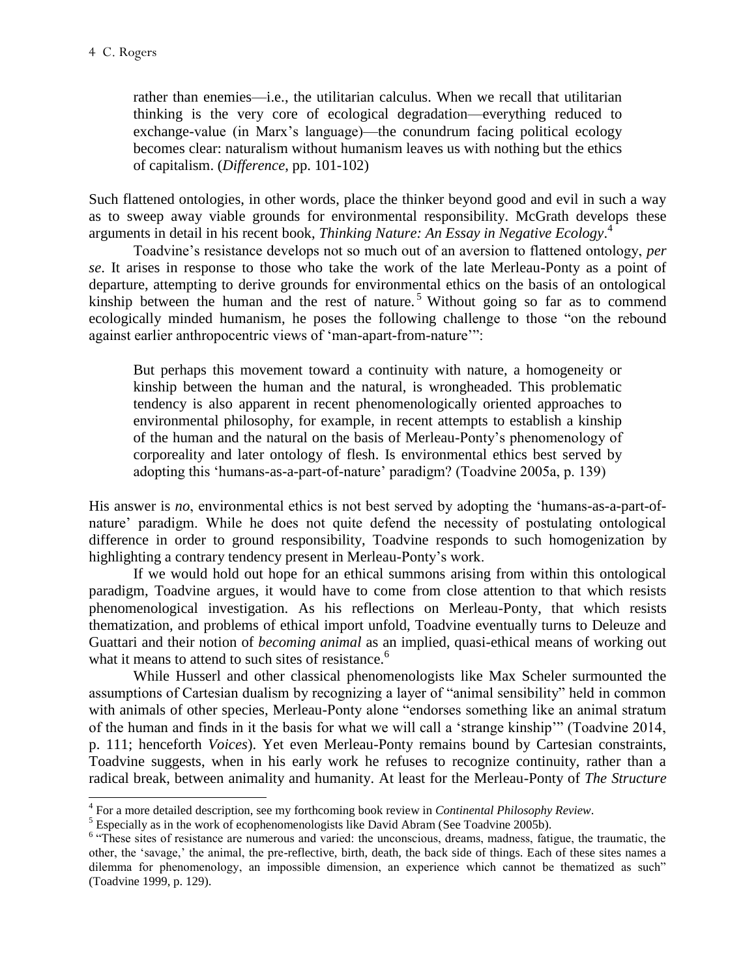rather than enemies—i.e., the utilitarian calculus. When we recall that utilitarian thinking is the very core of ecological degradation—everything reduced to exchange-value (in Marx's language)—the conundrum facing political ecology becomes clear: naturalism without humanism leaves us with nothing but the ethics of capitalism. (*Difference*, pp. 101-102)

Such flattened ontologies, in other words, place the thinker beyond good and evil in such a way as to sweep away viable grounds for environmental responsibility. McGrath develops these arguments in detail in his recent book, *Thinking Nature: An Essay in Negative Ecology*. 4

Toadvine's resistance develops not so much out of an aversion to flattened ontology, *per se*. It arises in response to those who take the work of the late Merleau-Ponty as a point of departure, attempting to derive grounds for environmental ethics on the basis of an ontological kinship between the human and the rest of nature.<sup>5</sup> Without going so far as to commend ecologically minded humanism, he poses the following challenge to those "on the rebound against earlier anthropocentric views of 'man-apart-from-nature'":

But perhaps this movement toward a continuity with nature, a homogeneity or kinship between the human and the natural, is wrongheaded. This problematic tendency is also apparent in recent phenomenologically oriented approaches to environmental philosophy, for example, in recent attempts to establish a kinship of the human and the natural on the basis of Merleau-Ponty's phenomenology of corporeality and later ontology of flesh. Is environmental ethics best served by adopting this 'humans-as-a-part-of-nature' paradigm? (Toadvine 2005a, p. 139)

His answer is *no*, environmental ethics is not best served by adopting the 'humans-as-a-part-ofnature' paradigm. While he does not quite defend the necessity of postulating ontological difference in order to ground responsibility, Toadvine responds to such homogenization by highlighting a contrary tendency present in Merleau-Ponty's work.

If we would hold out hope for an ethical summons arising from within this ontological paradigm, Toadvine argues, it would have to come from close attention to that which resists phenomenological investigation. As his reflections on Merleau-Ponty, that which resists thematization, and problems of ethical import unfold, Toadvine eventually turns to Deleuze and Guattari and their notion of *becoming animal* as an implied, quasi-ethical means of working out what it means to attend to such sites of resistance.<sup>6</sup>

While Husserl and other classical phenomenologists like Max Scheler surmounted the assumptions of Cartesian dualism by recognizing a layer of "animal sensibility" held in common with animals of other species, Merleau-Ponty alone "endorses something like an animal stratum of the human and finds in it the basis for what we will call a 'strange kinship'" (Toadvine 2014, p. 111; henceforth *Voices*). Yet even Merleau-Ponty remains bound by Cartesian constraints, Toadvine suggests, when in his early work he refuses to recognize continuity, rather than a radical break, between animality and humanity. At least for the Merleau-Ponty of *The Structure* 

 4 For a more detailed description, see my forthcoming book review in *Continental Philosophy Review*.

 $<sup>5</sup>$  Especially as in the work of ecophenomenologists like David Abram (See Toadvine 2005b).</sup>

<sup>&</sup>lt;sup>6</sup> "These sites of resistance are numerous and varied: the unconscious, dreams, madness, fatigue, the traumatic, the other, the 'savage,' the animal, the pre-reflective, birth, death, the back side of things. Each of these sites names a dilemma for phenomenology, an impossible dimension, an experience which cannot be thematized as such" (Toadvine 1999, p. 129).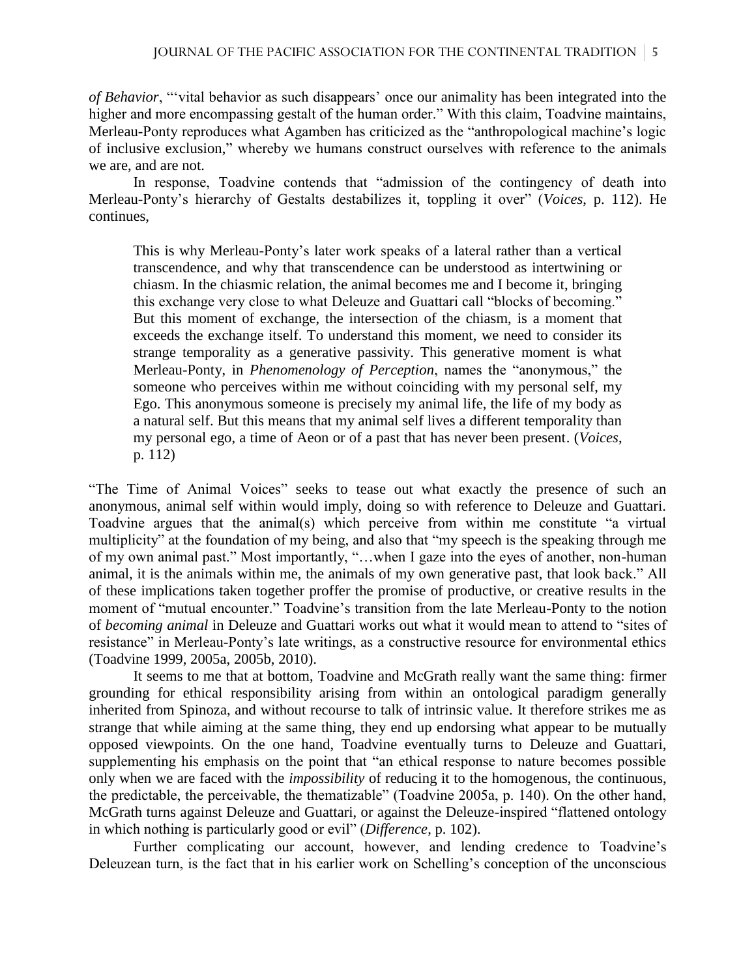*of Behavior*, "'vital behavior as such disappears' once our animality has been integrated into the higher and more encompassing gestalt of the human order." With this claim, Toadvine maintains, Merleau-Ponty reproduces what Agamben has criticized as the "anthropological machine's logic of inclusive exclusion," whereby we humans construct ourselves with reference to the animals we are, and are not.

In response, Toadvine contends that "admission of the contingency of death into Merleau-Ponty's hierarchy of Gestalts destabilizes it, toppling it over" (*Voices*, p. 112). He continues,

This is why Merleau-Ponty's later work speaks of a lateral rather than a vertical transcendence, and why that transcendence can be understood as intertwining or chiasm. In the chiasmic relation, the animal becomes me and I become it, bringing this exchange very close to what Deleuze and Guattari call "blocks of becoming." But this moment of exchange, the intersection of the chiasm, is a moment that exceeds the exchange itself. To understand this moment, we need to consider its strange temporality as a generative passivity. This generative moment is what Merleau-Ponty, in *Phenomenology of Perception*, names the "anonymous," the someone who perceives within me without coinciding with my personal self, my Ego. This anonymous someone is precisely my animal life, the life of my body as a natural self. But this means that my animal self lives a different temporality than my personal ego, a time of Aeon or of a past that has never been present. (*Voices*, p. 112)

"The Time of Animal Voices" seeks to tease out what exactly the presence of such an anonymous, animal self within would imply, doing so with reference to Deleuze and Guattari. Toadvine argues that the animal(s) which perceive from within me constitute "a virtual multiplicity" at the foundation of my being, and also that "my speech is the speaking through me of my own animal past." Most importantly, "…when I gaze into the eyes of another, non-human animal, it is the animals within me, the animals of my own generative past, that look back." All of these implications taken together proffer the promise of productive, or creative results in the moment of "mutual encounter." Toadvine's transition from the late Merleau-Ponty to the notion of *becoming animal* in Deleuze and Guattari works out what it would mean to attend to "sites of resistance" in Merleau-Ponty's late writings, as a constructive resource for environmental ethics (Toadvine 1999, 2005a, 2005b, 2010).

It seems to me that at bottom, Toadvine and McGrath really want the same thing: firmer grounding for ethical responsibility arising from within an ontological paradigm generally inherited from Spinoza, and without recourse to talk of intrinsic value. It therefore strikes me as strange that while aiming at the same thing, they end up endorsing what appear to be mutually opposed viewpoints. On the one hand, Toadvine eventually turns to Deleuze and Guattari, supplementing his emphasis on the point that "an ethical response to nature becomes possible only when we are faced with the *impossibility* of reducing it to the homogenous, the continuous, the predictable, the perceivable, the thematizable" (Toadvine 2005a, p. 140). On the other hand, McGrath turns against Deleuze and Guattari, or against the Deleuze-inspired "flattened ontology in which nothing is particularly good or evil" (*Difference*, p. 102).

Further complicating our account, however, and lending credence to Toadvine's Deleuzean turn, is the fact that in his earlier work on Schelling's conception of the unconscious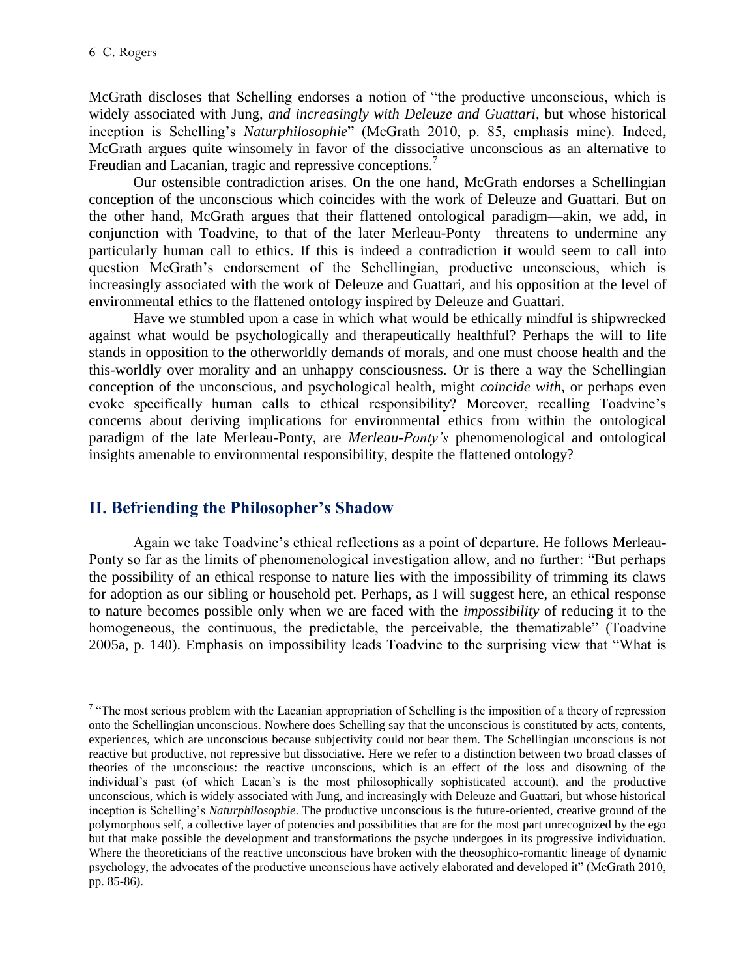$\overline{a}$ 

McGrath discloses that Schelling endorses a notion of "the productive unconscious, which is widely associated with Jung, *and increasingly with Deleuze and Guattari*, but whose historical inception is Schelling's *Naturphilosophie*" (McGrath 2010, p. 85, emphasis mine). Indeed, McGrath argues quite winsomely in favor of the dissociative unconscious as an alternative to Freudian and Lacanian, tragic and repressive conceptions.<sup>7</sup>

Our ostensible contradiction arises. On the one hand, McGrath endorses a Schellingian conception of the unconscious which coincides with the work of Deleuze and Guattari. But on the other hand, McGrath argues that their flattened ontological paradigm—akin, we add, in conjunction with Toadvine, to that of the later Merleau-Ponty—threatens to undermine any particularly human call to ethics. If this is indeed a contradiction it would seem to call into question McGrath's endorsement of the Schellingian, productive unconscious, which is increasingly associated with the work of Deleuze and Guattari, and his opposition at the level of environmental ethics to the flattened ontology inspired by Deleuze and Guattari.

Have we stumbled upon a case in which what would be ethically mindful is shipwrecked against what would be psychologically and therapeutically healthful? Perhaps the will to life stands in opposition to the otherworldly demands of morals, and one must choose health and the this-worldly over morality and an unhappy consciousness. Or is there a way the Schellingian conception of the unconscious, and psychological health, might *coincide with*, or perhaps even evoke specifically human calls to ethical responsibility? Moreover, recalling Toadvine's concerns about deriving implications for environmental ethics from within the ontological paradigm of the late Merleau-Ponty, are *Merleau-Ponty's* phenomenological and ontological insights amenable to environmental responsibility, despite the flattened ontology?

#### **II. Befriending the Philosopher's Shadow**

Again we take Toadvine's ethical reflections as a point of departure. He follows Merleau-Ponty so far as the limits of phenomenological investigation allow, and no further: "But perhaps the possibility of an ethical response to nature lies with the impossibility of trimming its claws for adoption as our sibling or household pet. Perhaps, as I will suggest here, an ethical response to nature becomes possible only when we are faced with the *impossibility* of reducing it to the homogeneous, the continuous, the predictable, the perceivable, the thematizable" (Toadvine 2005a, p. 140). Emphasis on impossibility leads Toadvine to the surprising view that "What is

<sup>&</sup>lt;sup>7</sup> "The most serious problem with the Lacanian appropriation of Schelling is the imposition of a theory of repression onto the Schellingian unconscious. Nowhere does Schelling say that the unconscious is constituted by acts, contents, experiences, which are unconscious because subjectivity could not bear them. The Schellingian unconscious is not reactive but productive, not repressive but dissociative. Here we refer to a distinction between two broad classes of theories of the unconscious: the reactive unconscious, which is an effect of the loss and disowning of the individual's past (of which Lacan's is the most philosophically sophisticated account), and the productive unconscious, which is widely associated with Jung, and increasingly with Deleuze and Guattari, but whose historical inception is Schelling's *Naturphilosophie*. The productive unconscious is the future-oriented, creative ground of the polymorphous self, a collective layer of potencies and possibilities that are for the most part unrecognized by the ego but that make possible the development and transformations the psyche undergoes in its progressive individuation. Where the theoreticians of the reactive unconscious have broken with the theosophico-romantic lineage of dynamic psychology, the advocates of the productive unconscious have actively elaborated and developed it" (McGrath 2010, pp. 85-86).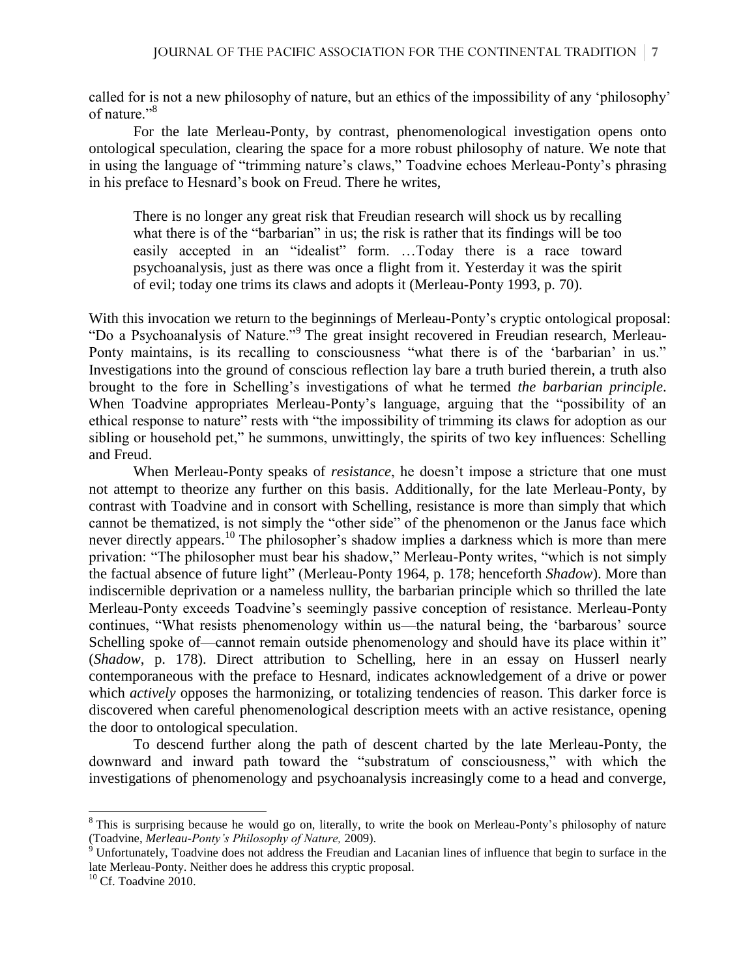called for is not a new philosophy of nature, but an ethics of the impossibility of any 'philosophy' of nature."<sup>8</sup>

For the late Merleau-Ponty, by contrast, phenomenological investigation opens onto ontological speculation, clearing the space for a more robust philosophy of nature. We note that in using the language of "trimming nature's claws," Toadvine echoes Merleau-Ponty's phrasing in his preface to Hesnard's book on Freud. There he writes,

There is no longer any great risk that Freudian research will shock us by recalling what there is of the "barbarian" in us; the risk is rather that its findings will be too easily accepted in an "idealist" form. …Today there is a race toward psychoanalysis, just as there was once a flight from it. Yesterday it was the spirit of evil; today one trims its claws and adopts it (Merleau-Ponty 1993, p. 70).

With this invocation we return to the beginnings of Merleau-Ponty's cryptic ontological proposal: "Do a Psychoanalysis of Nature."<sup>9</sup> The great insight recovered in Freudian research, Merleau-Ponty maintains, is its recalling to consciousness "what there is of the 'barbarian' in us." Investigations into the ground of conscious reflection lay bare a truth buried therein, a truth also brought to the fore in Schelling's investigations of what he termed *the barbarian principle*. When Toadvine appropriates Merleau-Ponty's language, arguing that the "possibility of an ethical response to nature" rests with "the impossibility of trimming its claws for adoption as our sibling or household pet," he summons, unwittingly, the spirits of two key influences: Schelling and Freud.

When Merleau-Ponty speaks of *resistance*, he doesn't impose a stricture that one must not attempt to theorize any further on this basis. Additionally, for the late Merleau-Ponty, by contrast with Toadvine and in consort with Schelling, resistance is more than simply that which cannot be thematized, is not simply the "other side" of the phenomenon or the Janus face which never directly appears.<sup>10</sup> The philosopher's shadow implies a darkness which is more than mere privation: "The philosopher must bear his shadow," Merleau-Ponty writes, "which is not simply the factual absence of future light" (Merleau-Ponty 1964, p. 178; henceforth *Shadow*). More than indiscernible deprivation or a nameless nullity, the barbarian principle which so thrilled the late Merleau-Ponty exceeds Toadvine's seemingly passive conception of resistance. Merleau-Ponty continues, "What resists phenomenology within us—the natural being, the 'barbarous' source Schelling spoke of—cannot remain outside phenomenology and should have its place within it" (*Shadow*, p. 178). Direct attribution to Schelling, here in an essay on Husserl nearly contemporaneous with the preface to Hesnard, indicates acknowledgement of a drive or power which *actively* opposes the harmonizing, or totalizing tendencies of reason. This darker force is discovered when careful phenomenological description meets with an active resistance, opening the door to ontological speculation.

To descend further along the path of descent charted by the late Merleau-Ponty, the downward and inward path toward the "substratum of consciousness," with which the investigations of phenomenology and psychoanalysis increasingly come to a head and converge,

<sup>&</sup>lt;sup>8</sup> This is surprising because he would go on, literally, to write the book on Merleau-Ponty's philosophy of nature (Toadvine, *Merleau-Ponty's Philosophy of Nature,* 2009).

 $9$  Unfortunately, Toadvine does not address the Freudian and Lacanian lines of influence that begin to surface in the late Merleau-Ponty. Neither does he address this cryptic proposal.

 $10$  Cf. Toadvine 2010.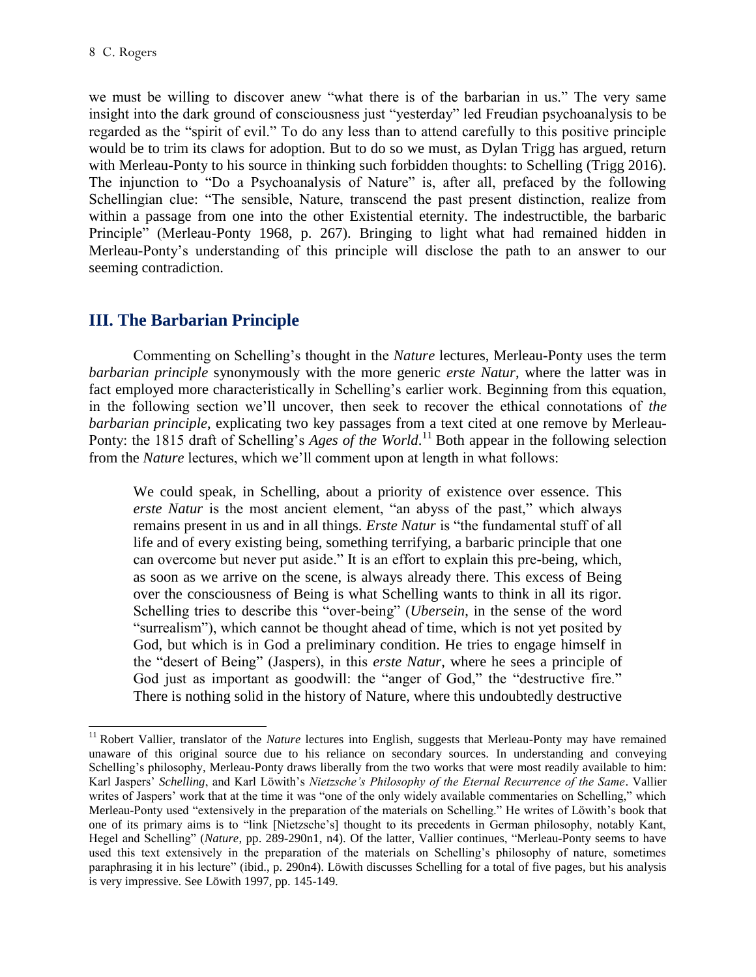$\overline{a}$ 

we must be willing to discover anew "what there is of the barbarian in us." The very same insight into the dark ground of consciousness just "yesterday" led Freudian psychoanalysis to be regarded as the "spirit of evil." To do any less than to attend carefully to this positive principle would be to trim its claws for adoption. But to do so we must, as Dylan Trigg has argued, return with Merleau-Ponty to his source in thinking such forbidden thoughts: to Schelling (Trigg 2016). The injunction to "Do a Psychoanalysis of Nature" is, after all, prefaced by the following Schellingian clue: "The sensible, Nature, transcend the past present distinction, realize from within a passage from one into the other Existential eternity. The indestructible, the barbaric Principle" (Merleau-Ponty 1968, p. 267). Bringing to light what had remained hidden in Merleau-Ponty's understanding of this principle will disclose the path to an answer to our seeming contradiction.

## **III. The Barbarian Principle**

Commenting on Schelling's thought in the *Nature* lectures, Merleau-Ponty uses the term *barbarian principle* synonymously with the more generic *erste Natur*, where the latter was in fact employed more characteristically in Schelling's earlier work. Beginning from this equation, in the following section we'll uncover, then seek to recover the ethical connotations of *the barbarian principle*, explicating two key passages from a text cited at one remove by Merleau-Ponty: the 1815 draft of Schelling's *Ages of the World*.<sup>11</sup> Both appear in the following selection from the *Nature* lectures, which we'll comment upon at length in what follows:

We could speak, in Schelling, about a priority of existence over essence. This *erste Natur* is the most ancient element, "an abyss of the past," which always remains present in us and in all things. *Erste Natur* is "the fundamental stuff of all life and of every existing being, something terrifying, a barbaric principle that one can overcome but never put aside." It is an effort to explain this pre-being, which, as soon as we arrive on the scene, is always already there. This excess of Being over the consciousness of Being is what Schelling wants to think in all its rigor. Schelling tries to describe this "over-being" (*Ubersein*, in the sense of the word "surrealism"), which cannot be thought ahead of time, which is not yet posited by God, but which is in God a preliminary condition. He tries to engage himself in the "desert of Being" (Jaspers), in this *erste Natur*, where he sees a principle of God just as important as goodwill: the "anger of God," the "destructive fire." There is nothing solid in the history of Nature, where this undoubtedly destructive

<sup>&</sup>lt;sup>11</sup> Robert Vallier, translator of the *Nature* lectures into English, suggests that Merleau-Ponty may have remained unaware of this original source due to his reliance on secondary sources. In understanding and conveying Schelling's philosophy, Merleau-Ponty draws liberally from the two works that were most readily available to him: Karl Jaspers' *Schelling*, and Karl Löwith's *Nietzsche's Philosophy of the Eternal Recurrence of the Same*. Vallier writes of Jaspers' work that at the time it was "one of the only widely available commentaries on Schelling," which Merleau-Ponty used "extensively in the preparation of the materials on Schelling." He writes of Löwith's book that one of its primary aims is to "link [Nietzsche's] thought to its precedents in German philosophy, notably Kant, Hegel and Schelling" (*Nature*, pp. 289-290n1, n4). Of the latter, Vallier continues, "Merleau-Ponty seems to have used this text extensively in the preparation of the materials on Schelling's philosophy of nature, sometimes paraphrasing it in his lecture" (ibid., p. 290n4). Löwith discusses Schelling for a total of five pages, but his analysis is very impressive. See Löwith 1997, pp. 145-149.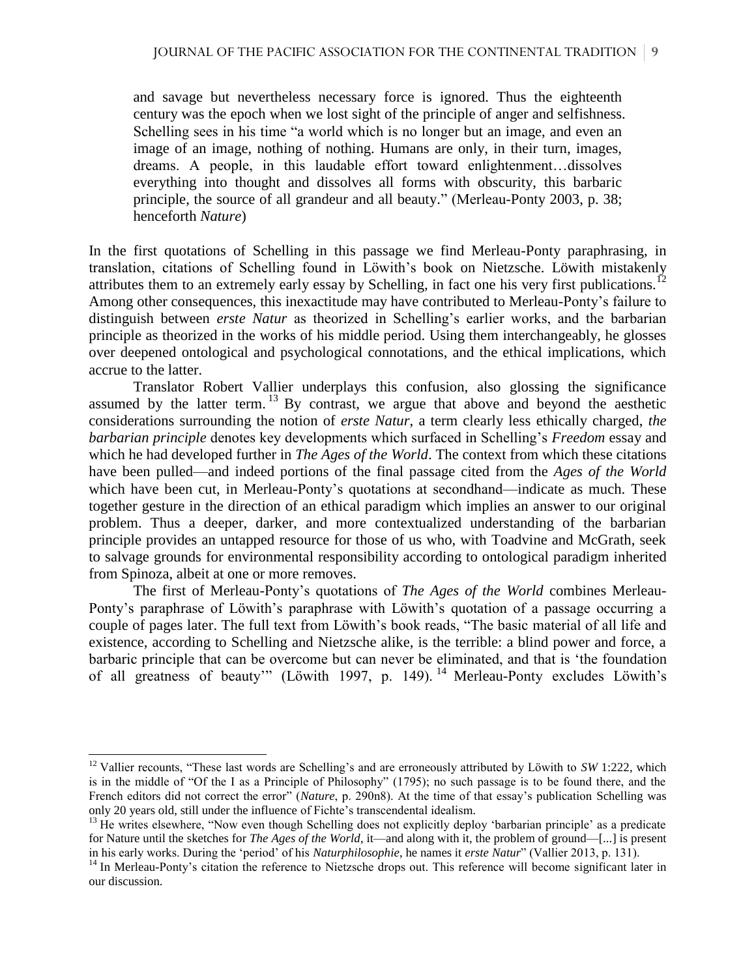and savage but nevertheless necessary force is ignored. Thus the eighteenth century was the epoch when we lost sight of the principle of anger and selfishness. Schelling sees in his time "a world which is no longer but an image, and even an image of an image, nothing of nothing. Humans are only, in their turn, images, dreams. A people, in this laudable effort toward enlightenment…dissolves everything into thought and dissolves all forms with obscurity, this barbaric principle, the source of all grandeur and all beauty." (Merleau-Ponty 2003, p. 38; henceforth *Nature*)

In the first quotations of Schelling in this passage we find Merleau-Ponty paraphrasing, in translation, citations of Schelling found in Löwith's book on Nietzsche. Löwith mistakenly attributes them to an extremely early essay by Schelling, in fact one his very first publications.<sup>12</sup> Among other consequences, this inexactitude may have contributed to Merleau-Ponty's failure to distinguish between *erste Natur* as theorized in Schelling's earlier works, and the barbarian principle as theorized in the works of his middle period. Using them interchangeably, he glosses over deepened ontological and psychological connotations, and the ethical implications, which accrue to the latter.

Translator Robert Vallier underplays this confusion, also glossing the significance assumed by the latter term.  $^{13}$  By contrast, we argue that above and beyond the aesthetic considerations surrounding the notion of *erste Natur*, a term clearly less ethically charged, *the barbarian principle* denotes key developments which surfaced in Schelling's *Freedom* essay and which he had developed further in *The Ages of the World*. The context from which these citations have been pulled—and indeed portions of the final passage cited from the *Ages of the World* which have been cut, in Merleau-Ponty's quotations at secondhand—indicate as much. These together gesture in the direction of an ethical paradigm which implies an answer to our original problem. Thus a deeper, darker, and more contextualized understanding of the barbarian principle provides an untapped resource for those of us who, with Toadvine and McGrath, seek to salvage grounds for environmental responsibility according to ontological paradigm inherited from Spinoza, albeit at one or more removes.

The first of Merleau-Ponty's quotations of *The Ages of the World* combines Merleau-Ponty's paraphrase of Löwith's paraphrase with Löwith's quotation of a passage occurring a couple of pages later. The full text from Löwith's book reads, "The basic material of all life and existence, according to Schelling and Nietzsche alike, is the terrible: a blind power and force, a barbaric principle that can be overcome but can never be eliminated, and that is 'the foundation of all greatness of beauty" (Löwith 1997, p. 149).<sup>14</sup> Merleau-Ponty excludes Löwith's

l

<sup>&</sup>lt;sup>12</sup> Vallier recounts, "These last words are Schelling's and are erroneously attributed by Löwith to *SW* 1:222, which is in the middle of "Of the I as a Principle of Philosophy" (1795); no such passage is to be found there, and the French editors did not correct the error" (*Nature*, p. 290n8). At the time of that essay's publication Schelling was only 20 years old, still under the influence of Fichte's transcendental idealism.

<sup>&</sup>lt;sup>13</sup> He writes elsewhere, "Now even though Schelling does not explicitly deploy 'barbarian principle' as a predicate for Nature until the sketches for *The Ages of the World*, it—and along with it, the problem of ground—[...] is present in his early works. During the 'period' of his *Naturphilosophie*, he names it *erste Natur*" (Vallier 2013, p. 131).

<sup>&</sup>lt;sup>14</sup> In Merleau-Ponty's citation the reference to Nietzsche drops out. This reference will become significant later in our discussion.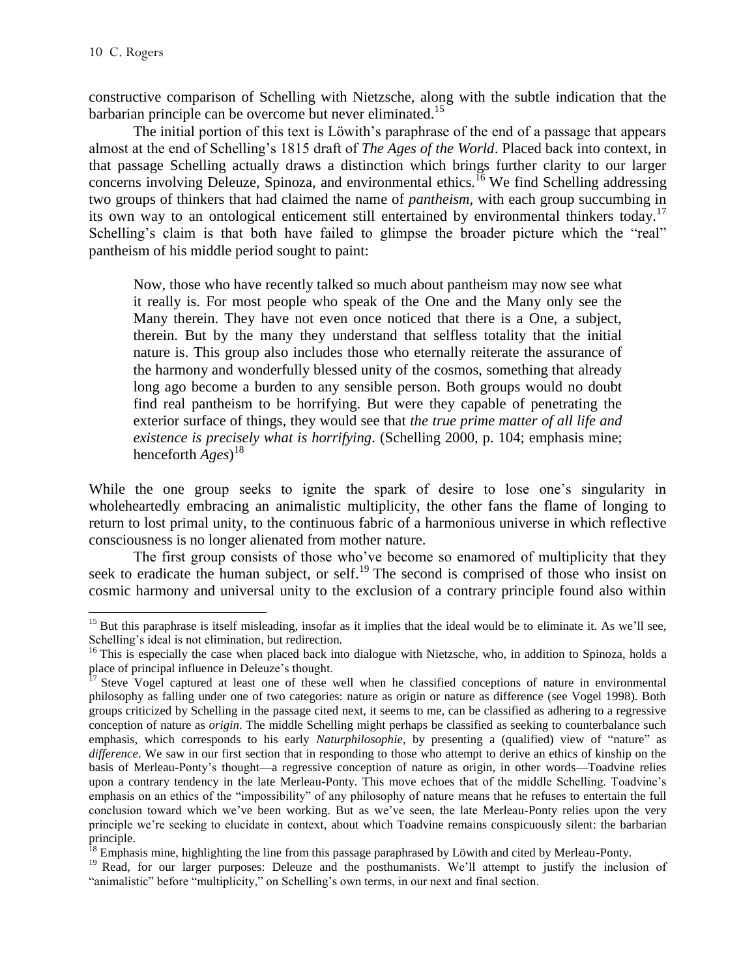l

constructive comparison of Schelling with Nietzsche, along with the subtle indication that the barbarian principle can be overcome but never eliminated.<sup>15</sup>

The initial portion of this text is Löwith's paraphrase of the end of a passage that appears almost at the end of Schelling's 1815 draft of *The Ages of the World*. Placed back into context, in that passage Schelling actually draws a distinction which brings further clarity to our larger concerns involving Deleuze, Spinoza, and environmental ethics.<sup>16</sup> We find Schelling addressing two groups of thinkers that had claimed the name of *pantheism*, with each group succumbing in its own way to an ontological enticement still entertained by environmental thinkers today.<sup>17</sup> Schelling's claim is that both have failed to glimpse the broader picture which the "real" pantheism of his middle period sought to paint:

Now, those who have recently talked so much about pantheism may now see what it really is. For most people who speak of the One and the Many only see the Many therein. They have not even once noticed that there is a One, a subject, therein. But by the many they understand that selfless totality that the initial nature is. This group also includes those who eternally reiterate the assurance of the harmony and wonderfully blessed unity of the cosmos, something that already long ago become a burden to any sensible person. Both groups would no doubt find real pantheism to be horrifying. But were they capable of penetrating the exterior surface of things, they would see that *the true prime matter of all life and existence is precisely what is horrifying.* (Schelling 2000, p. 104; emphasis mine; henceforth *Ages*) 18

While the one group seeks to ignite the spark of desire to lose one's singularity in wholeheartedly embracing an animalistic multiplicity, the other fans the flame of longing to return to lost primal unity, to the continuous fabric of a harmonious universe in which reflective consciousness is no longer alienated from mother nature.

The first group consists of those who've become so enamored of multiplicity that they seek to eradicate the human subject, or self.<sup>19</sup> The second is comprised of those who insist on cosmic harmony and universal unity to the exclusion of a contrary principle found also within

 $15$  But this paraphrase is itself misleading, insofar as it implies that the ideal would be to eliminate it. As we'll see, Schelling's ideal is not elimination, but redirection.

 $16$  This is especially the case when placed back into dialogue with Nietzsche, who, in addition to Spinoza, holds a place of principal influence in Deleuze's thought.

<sup>&</sup>lt;sup>17</sup> Steve Vogel captured at least one of these well when he classified conceptions of nature in environmental philosophy as falling under one of two categories: nature as origin or nature as difference (see Vogel 1998). Both groups criticized by Schelling in the passage cited next, it seems to me, can be classified as adhering to a regressive conception of nature as *origin*. The middle Schelling might perhaps be classified as seeking to counterbalance such emphasis, which corresponds to his early *Naturphilosophie*, by presenting a (qualified) view of "nature" as *difference*. We saw in our first section that in responding to those who attempt to derive an ethics of kinship on the basis of Merleau-Ponty's thought—a regressive conception of nature as origin, in other words—Toadvine relies upon a contrary tendency in the late Merleau-Ponty. This move echoes that of the middle Schelling. Toadvine's emphasis on an ethics of the "impossibility" of any philosophy of nature means that he refuses to entertain the full conclusion toward which we've been working. But as we've seen, the late Merleau-Ponty relies upon the very principle we're seeking to elucidate in context, about which Toadvine remains conspicuously silent: the barbarian principle.

<sup>&</sup>lt;sup>18</sup> Emphasis mine, highlighting the line from this passage paraphrased by Löwith and cited by Merleau-Ponty.

<sup>&</sup>lt;sup>19</sup> Read, for our larger purposes: Deleuze and the posthumanists. We'll attempt to justify the inclusion of "animalistic" before "multiplicity," on Schelling's own terms, in our next and final section.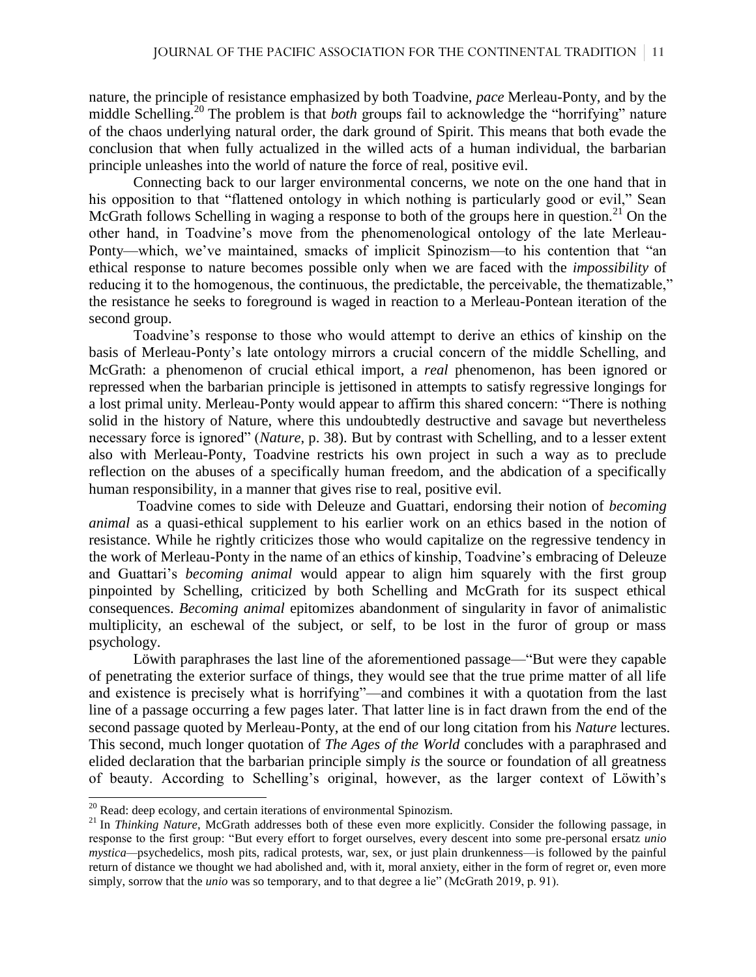nature, the principle of resistance emphasized by both Toadvine, *pace* Merleau-Ponty, and by the middle Schelling.<sup>20</sup> The problem is that *both* groups fail to acknowledge the "horrifying" nature of the chaos underlying natural order, the dark ground of Spirit. This means that both evade the conclusion that when fully actualized in the willed acts of a human individual, the barbarian principle unleashes into the world of nature the force of real, positive evil.

Connecting back to our larger environmental concerns, we note on the one hand that in his opposition to that "flattened ontology in which nothing is particularly good or evil," Sean McGrath follows Schelling in waging a response to both of the groups here in question.<sup>21</sup> On the other hand, in Toadvine's move from the phenomenological ontology of the late Merleau-Ponty—which, we've maintained, smacks of implicit Spinozism—to his contention that "an ethical response to nature becomes possible only when we are faced with the *impossibility* of reducing it to the homogenous, the continuous, the predictable, the perceivable, the thematizable," the resistance he seeks to foreground is waged in reaction to a Merleau-Pontean iteration of the second group.

Toadvine's response to those who would attempt to derive an ethics of kinship on the basis of Merleau-Ponty's late ontology mirrors a crucial concern of the middle Schelling, and McGrath: a phenomenon of crucial ethical import, a *real* phenomenon, has been ignored or repressed when the barbarian principle is jettisoned in attempts to satisfy regressive longings for a lost primal unity. Merleau-Ponty would appear to affirm this shared concern: "There is nothing solid in the history of Nature, where this undoubtedly destructive and savage but nevertheless necessary force is ignored" (*Nature*, p. 38). But by contrast with Schelling, and to a lesser extent also with Merleau-Ponty, Toadvine restricts his own project in such a way as to preclude reflection on the abuses of a specifically human freedom, and the abdication of a specifically human responsibility, in a manner that gives rise to real, positive evil.

Toadvine comes to side with Deleuze and Guattari, endorsing their notion of *becoming animal* as a quasi-ethical supplement to his earlier work on an ethics based in the notion of resistance. While he rightly criticizes those who would capitalize on the regressive tendency in the work of Merleau-Ponty in the name of an ethics of kinship, Toadvine's embracing of Deleuze and Guattari's *becoming animal* would appear to align him squarely with the first group pinpointed by Schelling, criticized by both Schelling and McGrath for its suspect ethical consequences. *Becoming animal* epitomizes abandonment of singularity in favor of animalistic multiplicity, an eschewal of the subject, or self, to be lost in the furor of group or mass psychology.

Löwith paraphrases the last line of the aforementioned passage—"But were they capable of penetrating the exterior surface of things, they would see that the true prime matter of all life and existence is precisely what is horrifying"—and combines it with a quotation from the last line of a passage occurring a few pages later. That latter line is in fact drawn from the end of the second passage quoted by Merleau-Ponty, at the end of our long citation from his *Nature* lectures. This second, much longer quotation of *The Ages of the World* concludes with a paraphrased and elided declaration that the barbarian principle simply *is* the source or foundation of all greatness of beauty. According to Schelling's original, however, as the larger context of Löwith's

 $20$  Read: deep ecology, and certain iterations of environmental Spinozism.

<sup>&</sup>lt;sup>21</sup> In *Thinking Nature*, McGrath addresses both of these even more explicitly. Consider the following passage, in response to the first group: "But every effort to forget ourselves, every descent into some pre-personal ersatz *unio mystica—*psychedelics, mosh pits, radical protests, war, sex, or just plain drunkenness—is followed by the painful return of distance we thought we had abolished and, with it, moral anxiety, either in the form of regret or, even more simply, sorrow that the *unio* was so temporary, and to that degree a lie" (McGrath 2019, p. 91).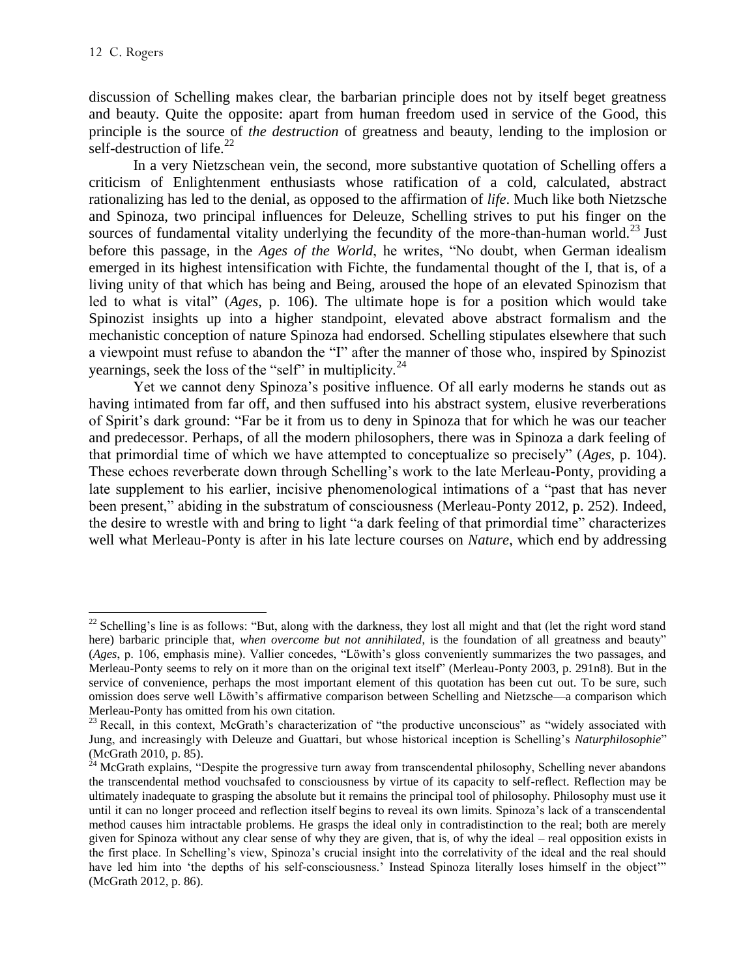l

discussion of Schelling makes clear, the barbarian principle does not by itself beget greatness and beauty. Quite the opposite: apart from human freedom used in service of the Good, this principle is the source of *the destruction* of greatness and beauty, lending to the implosion or self-destruction of life. $^{22}$ 

In a very Nietzschean vein, the second, more substantive quotation of Schelling offers a criticism of Enlightenment enthusiasts whose ratification of a cold, calculated, abstract rationalizing has led to the denial, as opposed to the affirmation of *life*. Much like both Nietzsche and Spinoza, two principal influences for Deleuze, Schelling strives to put his finger on the sources of fundamental vitality underlying the fecundity of the more-than-human world.<sup>23</sup> Just before this passage, in the *Ages of the World*, he writes, "No doubt, when German idealism emerged in its highest intensification with Fichte, the fundamental thought of the I, that is, of a living unity of that which has being and Being, aroused the hope of an elevated Spinozism that led to what is vital" (*Ages*, p. 106). The ultimate hope is for a position which would take Spinozist insights up into a higher standpoint, elevated above abstract formalism and the mechanistic conception of nature Spinoza had endorsed. Schelling stipulates elsewhere that such a viewpoint must refuse to abandon the "I" after the manner of those who, inspired by Spinozist vearnings, seek the loss of the "self" in multiplicity. $^{24}$ 

Yet we cannot deny Spinoza's positive influence. Of all early moderns he stands out as having intimated from far off, and then suffused into his abstract system, elusive reverberations of Spirit's dark ground: "Far be it from us to deny in Spinoza that for which he was our teacher and predecessor. Perhaps, of all the modern philosophers, there was in Spinoza a dark feeling of that primordial time of which we have attempted to conceptualize so precisely" (*Ages*, p. 104). These echoes reverberate down through Schelling's work to the late Merleau-Ponty, providing a late supplement to his earlier, incisive phenomenological intimations of a "past that has never been present," abiding in the substratum of consciousness (Merleau-Ponty 2012, p. 252). Indeed, the desire to wrestle with and bring to light "a dark feeling of that primordial time" characterizes well what Merleau-Ponty is after in his late lecture courses on *Nature*, which end by addressing

 $^{22}$  Schelling's line is as follows: "But, along with the darkness, they lost all might and that (let the right word stand here) barbaric principle that, *when overcome but not annihilated*, is the foundation of all greatness and beauty" (*Ages*, p. 106, emphasis mine). Vallier concedes, "Löwith's gloss conveniently summarizes the two passages, and Merleau-Ponty seems to rely on it more than on the original text itself" (Merleau-Ponty 2003, p. 291n8). But in the service of convenience, perhaps the most important element of this quotation has been cut out. To be sure, such omission does serve well Löwith's affirmative comparison between Schelling and Nietzsche—a comparison which Merleau-Ponty has omitted from his own citation.

 $23$  Recall, in this context, McGrath's characterization of "the productive unconscious" as "widely associated with Jung, and increasingly with Deleuze and Guattari, but whose historical inception is Schelling's *Naturphilosophie*" (McGrath 2010, p. 85).

 $^{24}$  McGrath explains, "Despite the progressive turn away from transcendental philosophy, Schelling never abandons the transcendental method vouchsafed to consciousness by virtue of its capacity to self-reflect. Reflection may be ultimately inadequate to grasping the absolute but it remains the principal tool of philosophy. Philosophy must use it until it can no longer proceed and reflection itself begins to reveal its own limits. Spinoza's lack of a transcendental method causes him intractable problems. He grasps the ideal only in contradistinction to the real; both are merely given for Spinoza without any clear sense of why they are given, that is, of why the ideal – real opposition exists in the first place. In Schelling's view, Spinoza's crucial insight into the correlativity of the ideal and the real should have led him into 'the depths of his self-consciousness.' Instead Spinoza literally loses himself in the object" (McGrath 2012, p. 86).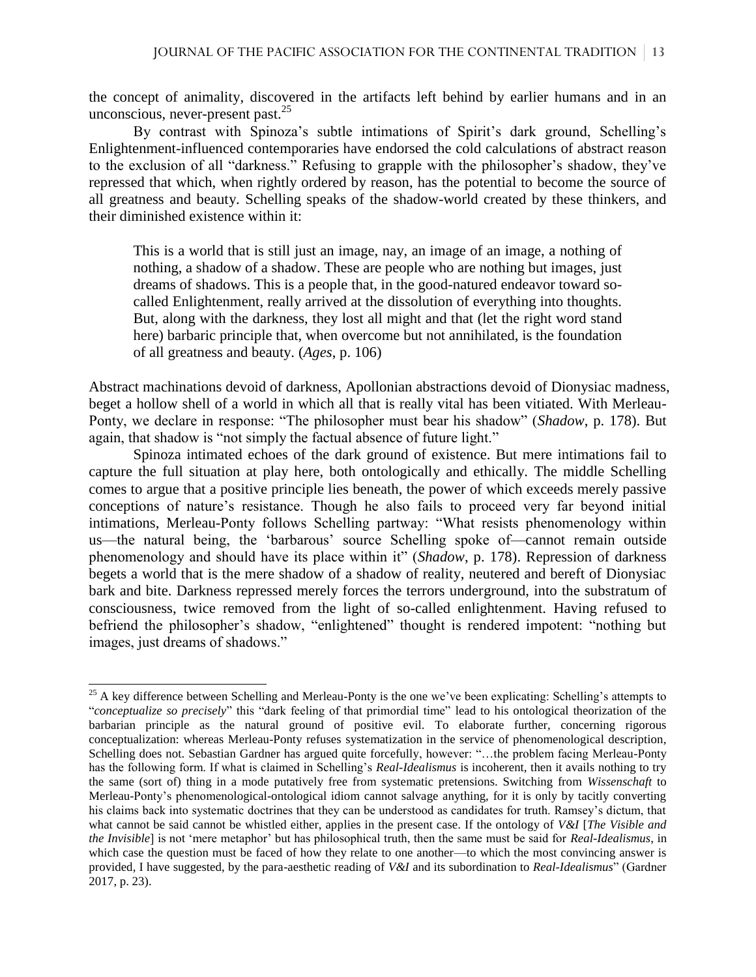the concept of animality, discovered in the artifacts left behind by earlier humans and in an unconscious, never-present past.  $25$ 

By contrast with Spinoza's subtle intimations of Spirit's dark ground, Schelling's Enlightenment-influenced contemporaries have endorsed the cold calculations of abstract reason to the exclusion of all "darkness." Refusing to grapple with the philosopher's shadow, they've repressed that which, when rightly ordered by reason, has the potential to become the source of all greatness and beauty. Schelling speaks of the shadow-world created by these thinkers, and their diminished existence within it:

This is a world that is still just an image, nay, an image of an image, a nothing of nothing, a shadow of a shadow. These are people who are nothing but images, just dreams of shadows. This is a people that, in the good-natured endeavor toward socalled Enlightenment, really arrived at the dissolution of everything into thoughts. But, along with the darkness, they lost all might and that (let the right word stand here) barbaric principle that, when overcome but not annihilated, is the foundation of all greatness and beauty. (*Ages*, p. 106)

Abstract machinations devoid of darkness, Apollonian abstractions devoid of Dionysiac madness, beget a hollow shell of a world in which all that is really vital has been vitiated. With Merleau-Ponty, we declare in response: "The philosopher must bear his shadow" (*Shadow*, p. 178). But again, that shadow is "not simply the factual absence of future light."

Spinoza intimated echoes of the dark ground of existence. But mere intimations fail to capture the full situation at play here, both ontologically and ethically. The middle Schelling comes to argue that a positive principle lies beneath, the power of which exceeds merely passive conceptions of nature's resistance. Though he also fails to proceed very far beyond initial intimations, Merleau-Ponty follows Schelling partway: "What resists phenomenology within us—the natural being, the 'barbarous' source Schelling spoke of—cannot remain outside phenomenology and should have its place within it" (*Shadow*, p. 178). Repression of darkness begets a world that is the mere shadow of a shadow of reality, neutered and bereft of Dionysiac bark and bite. Darkness repressed merely forces the terrors underground, into the substratum of consciousness, twice removed from the light of so-called enlightenment. Having refused to befriend the philosopher's shadow, "enlightened" thought is rendered impotent: "nothing but images, just dreams of shadows."

 $25$  A key difference between Schelling and Merleau-Ponty is the one we've been explicating: Schelling's attempts to "*conceptualize so precisely*" this "dark feeling of that primordial time" lead to his ontological theorization of the barbarian principle as the natural ground of positive evil. To elaborate further, concerning rigorous conceptualization: whereas Merleau-Ponty refuses systematization in the service of phenomenological description, Schelling does not. Sebastian Gardner has argued quite forcefully, however: "…the problem facing Merleau-Ponty has the following form. If what is claimed in Schelling's *Real-Idealismus* is incoherent, then it avails nothing to try the same (sort of) thing in a mode putatively free from systematic pretensions. Switching from *Wissenschaft* to Merleau-Ponty's phenomenological-ontological idiom cannot salvage anything, for it is only by tacitly converting his claims back into systematic doctrines that they can be understood as candidates for truth. Ramsey's dictum, that what cannot be said cannot be whistled either, applies in the present case. If the ontology of *V&I* [*The Visible and the Invisible*] is not 'mere metaphor' but has philosophical truth, then the same must be said for *Real-Idealismus*, in which case the question must be faced of how they relate to one another—to which the most convincing answer is provided, I have suggested, by the para-aesthetic reading of *V&I* and its subordination to *Real-Idealismus*" (Gardner 2017, p. 23).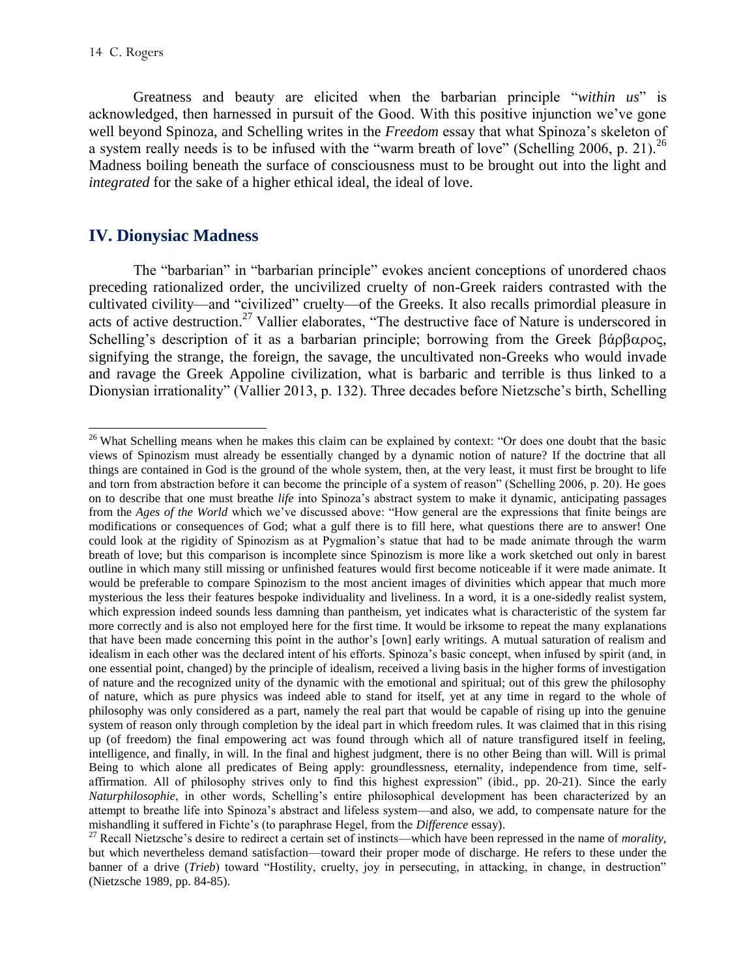Greatness and beauty are elicited when the barbarian principle "*within us*" is acknowledged, then harnessed in pursuit of the Good. With this positive injunction we've gone well beyond Spinoza, and Schelling writes in the *Freedom* essay that what Spinoza's skeleton of a system really needs is to be infused with the "warm breath of love" (Schelling 2006, p. 21).<sup>26</sup> Madness boiling beneath the surface of consciousness must to be brought out into the light and *integrated* for the sake of a higher ethical ideal, the ideal of love.

## **IV. Dionysiac Madness**

The "barbarian" in "barbarian principle" evokes ancient conceptions of unordered chaos preceding rationalized order, the uncivilized cruelty of non-Greek raiders contrasted with the cultivated civility—and "civilized" cruelty—of the Greeks. It also recalls primordial pleasure in acts of active destruction.<sup>27</sup> Vallier elaborates, "The destructive face of Nature is underscored in Schelling's description of it as a barbarian principle; borrowing from the Greek  $\beta \alpha \beta \alpha \beta \alpha$ , signifying the strange, the foreign, the savage, the uncultivated non-Greeks who would invade and ravage the Greek Appoline civilization, what is barbaric and terrible is thus linked to a Dionysian irrationality" (Vallier 2013, p. 132). Three decades before Nietzsche's birth, Schelling

 $\overline{\phantom{a}}$ <sup>26</sup> What Schelling means when he makes this claim can be explained by context: "Or does one doubt that the basic views of Spinozism must already be essentially changed by a dynamic notion of nature? If the doctrine that all things are contained in God is the ground of the whole system, then, at the very least, it must first be brought to life and torn from abstraction before it can become the principle of a system of reason" (Schelling 2006, p. 20). He goes on to describe that one must breathe *life* into Spinoza's abstract system to make it dynamic, anticipating passages from the *Ages of the World* which we've discussed above: "How general are the expressions that finite beings are modifications or consequences of God; what a gulf there is to fill here, what questions there are to answer! One could look at the rigidity of Spinozism as at Pygmalion's statue that had to be made animate through the warm breath of love; but this comparison is incomplete since Spinozism is more like a work sketched out only in barest outline in which many still missing or unfinished features would first become noticeable if it were made animate. It would be preferable to compare Spinozism to the most ancient images of divinities which appear that much more mysterious the less their features bespoke individuality and liveliness. In a word, it is a one-sidedly realist system, which expression indeed sounds less damning than pantheism, yet indicates what is characteristic of the system far more correctly and is also not employed here for the first time. It would be irksome to repeat the many explanations that have been made concerning this point in the author's [own] early writings. A mutual saturation of realism and idealism in each other was the declared intent of his efforts. Spinoza's basic concept, when infused by spirit (and, in one essential point, changed) by the principle of idealism, received a living basis in the higher forms of investigation of nature and the recognized unity of the dynamic with the emotional and spiritual; out of this grew the philosophy of nature, which as pure physics was indeed able to stand for itself, yet at any time in regard to the whole of philosophy was only considered as a part, namely the real part that would be capable of rising up into the genuine system of reason only through completion by the ideal part in which freedom rules. It was claimed that in this rising up (of freedom) the final empowering act was found through which all of nature transfigured itself in feeling, intelligence, and finally, in will. In the final and highest judgment, there is no other Being than will. Will is primal Being to which alone all predicates of Being apply: groundlessness, eternality, independence from time, selfaffirmation. All of philosophy strives only to find this highest expression" (ibid., pp. 20-21). Since the early *Naturphilosophie*, in other words, Schelling's entire philosophical development has been characterized by an attempt to breathe life into Spinoza's abstract and lifeless system—and also, we add, to compensate nature for the mishandling it suffered in Fichte's (to paraphrase Hegel, from the *Difference* essay).

<sup>27</sup> Recall Nietzsche's desire to redirect a certain set of instincts—which have been repressed in the name of *morality*, but which nevertheless demand satisfaction—toward their proper mode of discharge. He refers to these under the banner of a drive (*Trieb*) toward "Hostility, cruelty, joy in persecuting, in attacking, in change, in destruction" (Nietzsche 1989, pp. 84-85).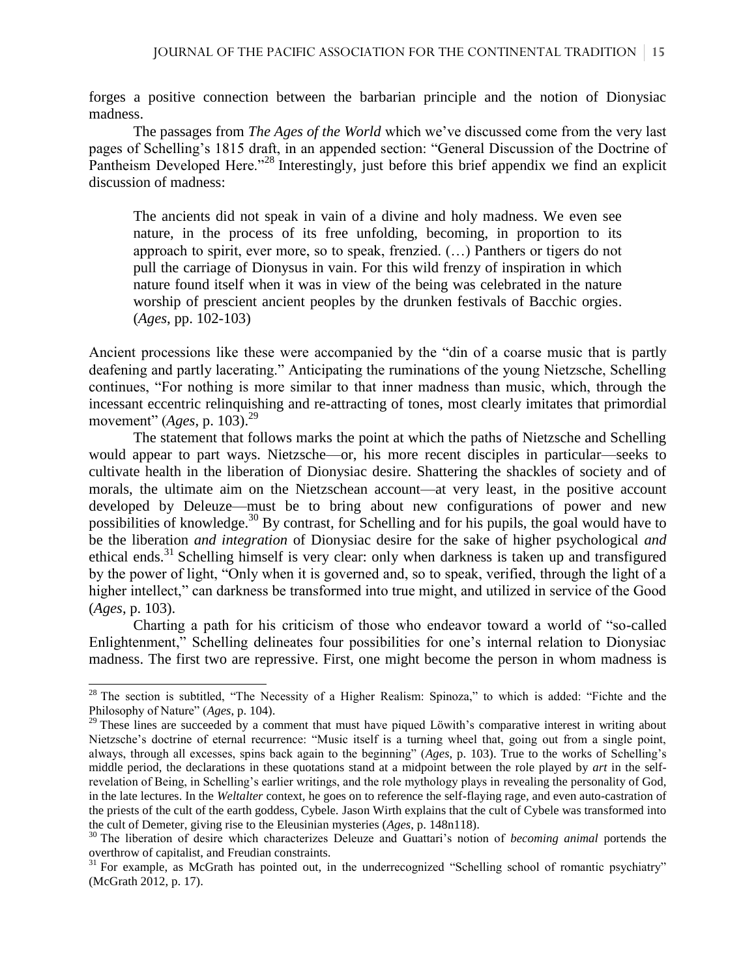forges a positive connection between the barbarian principle and the notion of Dionysiac madness.

The passages from *The Ages of the World* which we've discussed come from the very last pages of Schelling's 1815 draft, in an appended section: "General Discussion of the Doctrine of Pantheism Developed Here."<sup>28</sup> Interestingly, just before this brief appendix we find an explicit discussion of madness:

The ancients did not speak in vain of a divine and holy madness. We even see nature, in the process of its free unfolding, becoming, in proportion to its approach to spirit, ever more, so to speak, frenzied. (…) Panthers or tigers do not pull the carriage of Dionysus in vain. For this wild frenzy of inspiration in which nature found itself when it was in view of the being was celebrated in the nature worship of prescient ancient peoples by the drunken festivals of Bacchic orgies. (*Ages*, pp. 102-103)

Ancient processions like these were accompanied by the "din of a coarse music that is partly deafening and partly lacerating." Anticipating the ruminations of the young Nietzsche, Schelling continues, "For nothing is more similar to that inner madness than music, which, through the incessant eccentric relinquishing and re-attracting of tones, most clearly imitates that primordial movement" (*Ages*, p. 103).<sup>29</sup>

The statement that follows marks the point at which the paths of Nietzsche and Schelling would appear to part ways. Nietzsche—or, his more recent disciples in particular—seeks to cultivate health in the liberation of Dionysiac desire. Shattering the shackles of society and of morals, the ultimate aim on the Nietzschean account—at very least, in the positive account developed by Deleuze—must be to bring about new configurations of power and new possibilities of knowledge.<sup>30</sup> By contrast, for Schelling and for his pupils, the goal would have to be the liberation *and integration* of Dionysiac desire for the sake of higher psychological *and* ethical ends.<sup>31</sup> Schelling himself is very clear: only when darkness is taken up and transfigured by the power of light, "Only when it is governed and, so to speak, verified, through the light of a higher intellect," can darkness be transformed into true might, and utilized in service of the Good (*Ages*, p. 103).

Charting a path for his criticism of those who endeavor toward a world of "so-called Enlightenment," Schelling delineates four possibilities for one's internal relation to Dionysiac madness. The first two are repressive. First, one might become the person in whom madness is

 $28$  The section is subtitled, "The Necessity of a Higher Realism: Spinoza," to which is added: "Fichte and the Philosophy of Nature" (*Ages*, p. 104).

<sup>&</sup>lt;sup>29</sup> These lines are succeeded by a comment that must have piqued Löwith's comparative interest in writing about Nietzsche's doctrine of eternal recurrence: "Music itself is a turning wheel that, going out from a single point, always, through all excesses, spins back again to the beginning" (*Ages*, p. 103). True to the works of Schelling's middle period, the declarations in these quotations stand at a midpoint between the role played by *art* in the selfrevelation of Being, in Schelling's earlier writings, and the role mythology plays in revealing the personality of God, in the late lectures. In the *Weltalter* context, he goes on to reference the self-flaying rage, and even auto-castration of the priests of the cult of the earth goddess, Cybele. Jason Wirth explains that the cult of Cybele was transformed into the cult of Demeter, giving rise to the Eleusinian mysteries (*Ages*, p. 148n118).

<sup>30</sup> The liberation of desire which characterizes Deleuze and Guattari's notion of *becoming animal* portends the overthrow of capitalist, and Freudian constraints.

<sup>&</sup>lt;sup>31</sup> For example, as McGrath has pointed out, in the underrecognized "Schelling school of romantic psychiatry" (McGrath 2012, p. 17).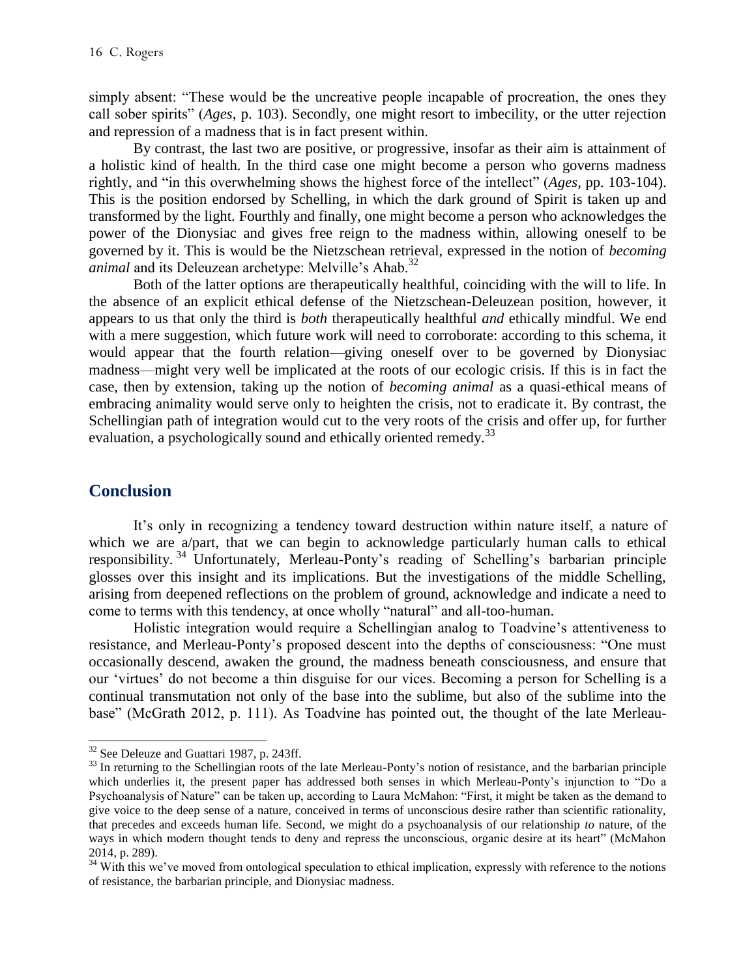simply absent: "These would be the uncreative people incapable of procreation, the ones they call sober spirits" (*Ages*, p. 103). Secondly, one might resort to imbecility, or the utter rejection and repression of a madness that is in fact present within.

By contrast, the last two are positive, or progressive, insofar as their aim is attainment of a holistic kind of health. In the third case one might become a person who governs madness rightly, and "in this overwhelming shows the highest force of the intellect" (*Ages*, pp. 103-104). This is the position endorsed by Schelling, in which the dark ground of Spirit is taken up and transformed by the light. Fourthly and finally, one might become a person who acknowledges the power of the Dionysiac and gives free reign to the madness within, allowing oneself to be governed by it. This is would be the Nietzschean retrieval, expressed in the notion of *becoming animal* and its Deleuzean archetype: Melville's Ahab.<sup>32</sup>

Both of the latter options are therapeutically healthful, coinciding with the will to life. In the absence of an explicit ethical defense of the Nietzschean-Deleuzean position, however, it appears to us that only the third is *both* therapeutically healthful *and* ethically mindful. We end with a mere suggestion, which future work will need to corroborate: according to this schema, it would appear that the fourth relation—giving oneself over to be governed by Dionysiac madness—might very well be implicated at the roots of our ecologic crisis. If this is in fact the case, then by extension, taking up the notion of *becoming animal* as a quasi-ethical means of embracing animality would serve only to heighten the crisis, not to eradicate it. By contrast, the Schellingian path of integration would cut to the very roots of the crisis and offer up, for further evaluation, a psychologically sound and ethically oriented remedy.<sup>33</sup>

#### **Conclusion**

 $\overline{\phantom{a}}$ 

It's only in recognizing a tendency toward destruction within nature itself, a nature of which we are a/part, that we can begin to acknowledge particularly human calls to ethical responsibility. <sup>34</sup> Unfortunately, Merleau-Ponty's reading of Schelling's barbarian principle glosses over this insight and its implications. But the investigations of the middle Schelling, arising from deepened reflections on the problem of ground, acknowledge and indicate a need to come to terms with this tendency, at once wholly "natural" and all-too-human.

Holistic integration would require a Schellingian analog to Toadvine's attentiveness to resistance, and Merleau-Ponty's proposed descent into the depths of consciousness: "One must occasionally descend, awaken the ground, the madness beneath consciousness, and ensure that our 'virtues' do not become a thin disguise for our vices. Becoming a person for Schelling is a continual transmutation not only of the base into the sublime, but also of the sublime into the base" (McGrath 2012, p. 111). As Toadvine has pointed out, the thought of the late Merleau-

<sup>&</sup>lt;sup>32</sup> See Deleuze and Guattari 1987, p. 243ff.

<sup>&</sup>lt;sup>33</sup> In returning to the Schellingian roots of the late Merleau-Ponty's notion of resistance, and the barbarian principle which underlies it, the present paper has addressed both senses in which Merleau-Ponty's injunction to "Do a Psychoanalysis of Nature" can be taken up, according to Laura McMahon: "First, it might be taken as the demand to give voice to the deep sense of a nature, conceived in terms of unconscious desire rather than scientific rationality, that precedes and exceeds human life. Second, we might do a psychoanalysis of our relationship *to* nature, of the ways in which modern thought tends to deny and repress the unconscious, organic desire at its heart" (McMahon 2014, p. 289).

<sup>&</sup>lt;sup>34</sup> With this we've moved from ontological speculation to ethical implication, expressly with reference to the notions of resistance, the barbarian principle, and Dionysiac madness.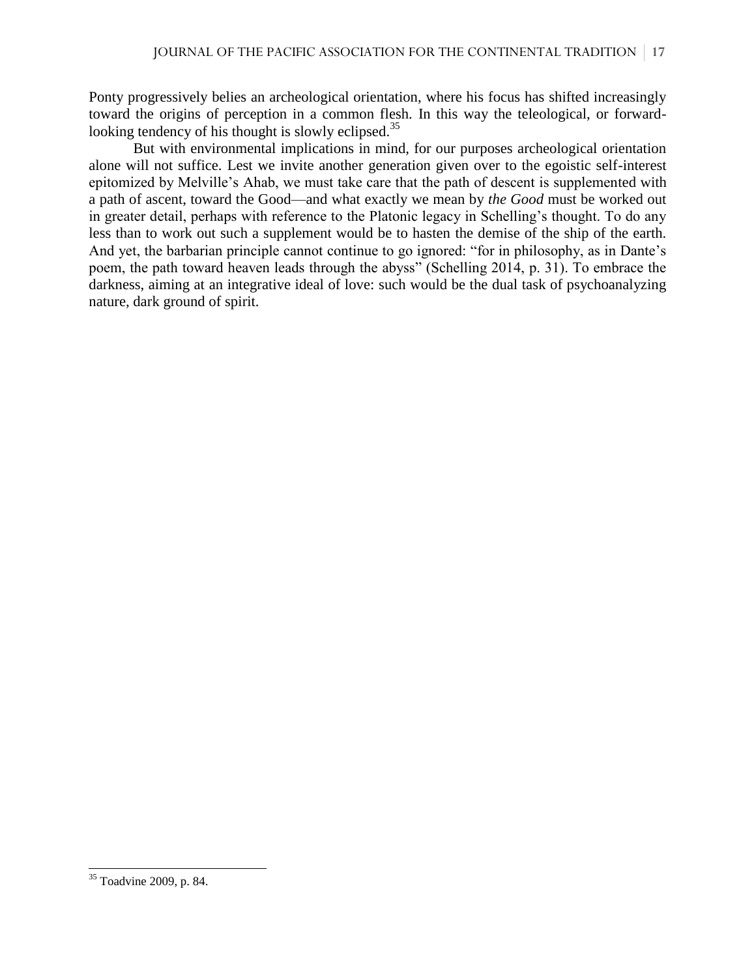Ponty progressively belies an archeological orientation, where his focus has shifted increasingly toward the origins of perception in a common flesh. In this way the teleological, or forwardlooking tendency of his thought is slowly eclipsed.<sup>35</sup>

But with environmental implications in mind, for our purposes archeological orientation alone will not suffice. Lest we invite another generation given over to the egoistic self-interest epitomized by Melville's Ahab, we must take care that the path of descent is supplemented with a path of ascent, toward the Good—and what exactly we mean by *the Good* must be worked out in greater detail, perhaps with reference to the Platonic legacy in Schelling's thought. To do any less than to work out such a supplement would be to hasten the demise of the ship of the earth. And yet, the barbarian principle cannot continue to go ignored: "for in philosophy, as in Dante's poem, the path toward heaven leads through the abyss" (Schelling 2014, p. 31). To embrace the darkness, aiming at an integrative ideal of love: such would be the dual task of psychoanalyzing nature, dark ground of spirit.

 $\overline{\phantom{a}}$ 

<sup>&</sup>lt;sup>35</sup> Toadvine 2009, p. 84.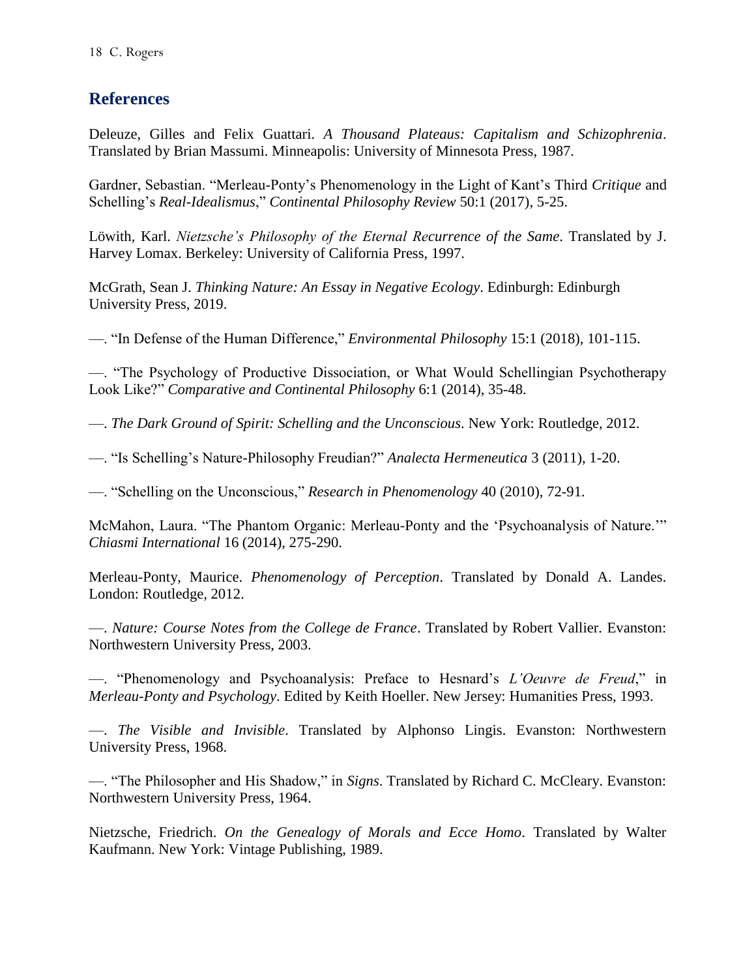## **References**

Deleuze, Gilles and Felix Guattari. *A Thousand Plateaus: Capitalism and Schizophrenia*. Translated by Brian Massumi. Minneapolis: University of Minnesota Press, 1987.

Gardner, Sebastian. "Merleau-Ponty's Phenomenology in the Light of Kant's Third *Critique* and Schelling's *Real-Idealismus*," *Continental Philosophy Review* 50:1 (2017), 5-25.

Löwith, Karl. *Nietzsche's Philosophy of the Eternal Recurrence of the Same*. Translated by J. Harvey Lomax. Berkeley: University of California Press, 1997.

McGrath, Sean J. *Thinking Nature: An Essay in Negative Ecology*. Edinburgh: Edinburgh University Press, 2019.

—. "In Defense of the Human Difference," *Environmental Philosophy* 15:1 (2018), 101-115.

—. "The Psychology of Productive Dissociation, or What Would Schellingian Psychotherapy Look Like?" *Comparative and Continental Philosophy* 6:1 (2014), 35-48.

—. *The Dark Ground of Spirit: Schelling and the Unconscious*. New York: Routledge, 2012.

—. "Is Schelling's Nature-Philosophy Freudian?" *Analecta Hermeneutica* 3 (2011), 1-20.

—. "Schelling on the Unconscious," *Research in Phenomenology* 40 (2010), 72-91.

McMahon, Laura. "The Phantom Organic: Merleau-Ponty and the 'Psychoanalysis of Nature.'" *Chiasmi International* 16 (2014), 275-290.

Merleau-Ponty, Maurice. *Phenomenology of Perception*. Translated by Donald A. Landes. London: Routledge, 2012.

—. *Nature: Course Notes from the College de France*. Translated by Robert Vallier. Evanston: Northwestern University Press, 2003.

—. "Phenomenology and Psychoanalysis: Preface to Hesnard's *L'Oeuvre de Freud*," in *Merleau-Ponty and Psychology*. Edited by Keith Hoeller. New Jersey: Humanities Press, 1993.

—. *The Visible and Invisible*. Translated by Alphonso Lingis. Evanston: Northwestern University Press, 1968.

—. "The Philosopher and His Shadow," in *Signs*. Translated by Richard C. McCleary. Evanston: Northwestern University Press, 1964.

Nietzsche, Friedrich. *On the Genealogy of Morals and Ecce Homo*. Translated by Walter Kaufmann. New York: Vintage Publishing, 1989.